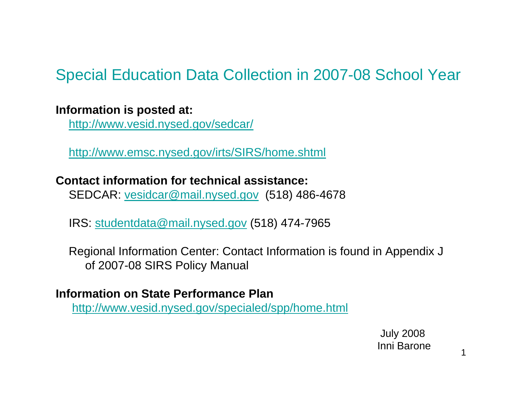# Special Education Data Collection in 2007-08 School Year

#### **Information is posted at:**

http://www.vesid.nysed.gov/sedcar/

http://www.emsc.nysed.gov/irts/SIRS/home.shtml

**Contact information for technical assistance:**SEDCAR: vesidcar@mail.nysed.gov (518) 486-4678

IRS: studentdata@mail.nysed.gov (518) 474-7965

Regional Information Center: Contact Information is found in Appendix J of 2007-08 SIRS Policy Manual

#### **Information on State Performance Plan**

http://www.vesid.nysed.gov/specialed/spp/home.html

July 2008 Inni Barone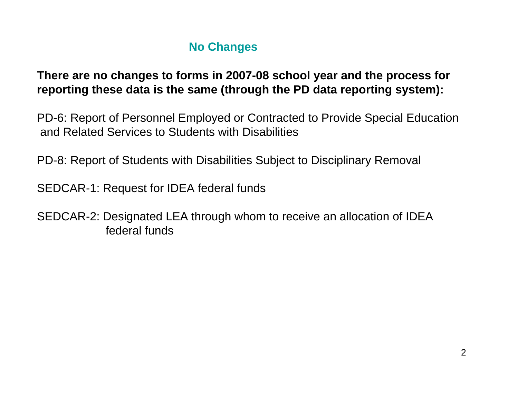#### **No Changes**

**There are no changes to forms in 2007-08 school year and the process for reporting these data is the same (through the PD data reporting system):**

PD-6: Report of Personnel Employed or Contracted to Provide Special Education and Related Services to Students with Disabilities

PD-8: Report of Students with Disabilities Subject to Disciplinary Removal

SEDCAR-1: Request for IDEA federal funds

SEDCAR-2: Designated LEA through whom to receive an allocation of IDEA federal funds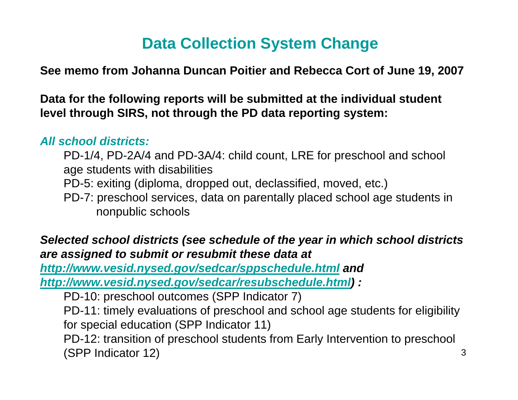# **Data Collection System Change**

**See memo from Johanna Duncan Poitier and Rebecca Cort of June 19, 2007**

**Data for the following reports will be submitted at the individual student level through SIRS, not through the PD data reporting system:**

#### *All school districts:*

PD-1/4, PD-2A/4 and PD-3A/4: child count, LRE for preschool and school age students with disabilities

PD-5: exiting (diploma, dropped out, declassified, moved, etc.)

PD-7: preschool services, data on parentally placed school age students in nonpublic schools

#### *Selected school districts (see schedule of the year in which school districts are assigned to submit or resubmit these data at*

*http://www.vesid.nysed.gov/sedcar/sppschedule.html and http://www.vesid.nysed.gov/sedcar/resubschedule.html) :*

PD-10: preschool outcomes (SPP Indicator 7)

PD-11: timely evaluations of preschool and school age students for eligibility for special education (SPP Indicator 11)

PD-12: transition of preschool students from Early Intervention to preschool (SPP Indicator 12)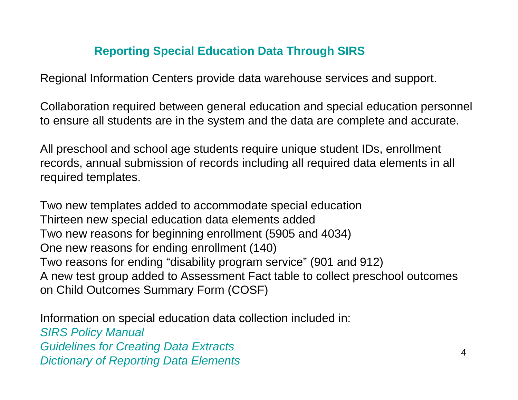#### **Reporting Special Education Data Through SIRS**

Regional Information Centers provide data warehouse services and support.

Collaboration required between general education and special education personnel to ensure all students are in the system and the data are complete and accurate.

All preschool and school age students require unique student IDs, enrollment records, annual submission of records including all required data elements in all required templates.

Two new templates added to accommodate special education Thirteen new special education data elements added Two new reasons for beginning enrollment (5905 and 4034) One new reasons for ending enrollment (140) Two reasons for ending "disability program service" (901 and 912) A new test group added to Assessment Fact table to collect preschool outcomes on Child Outcomes Summary Form (COSF)

Information on special education data collection included in: *SIRS Policy Manual Guidelines for Creating Data Extracts Dictionary of Reporting Data Elements*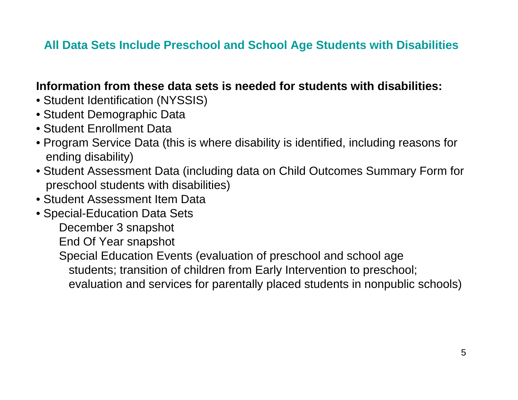#### **All Data Sets Include Preschool and School Age Students with Disabilities**

#### **Information from these data sets is needed for students with disabilities:**

- Student Identification (NYSSIS)
- Student Demographic Data
- Student Enrollment Data
- Program Service Data (this is where disability is identified, including reasons for ending disability)
- Student Assessment Data (including data on Child Outcomes Summary Form for preschool students with disabilities)
- Student Assessment Item Data
- Special-Education Data Sets
	- December 3 snapshot
	- End Of Year snapshot
	- Special Education Events (evaluation of preschool and school age
		- students; transition of children from Early Intervention to preschool;
		- evaluation and services for parentally placed students in nonpublic schools)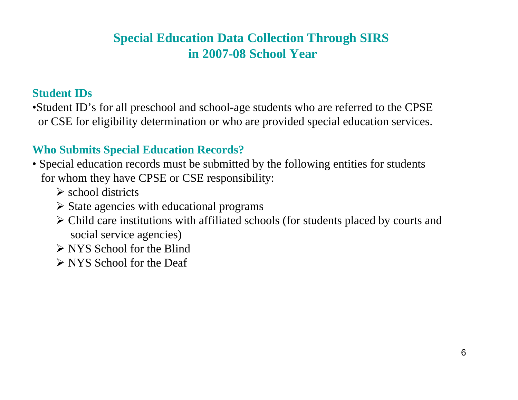### **Special Education Data Collection Through SIRS in 2007-08 School Year**

#### **Student IDs**

•Student ID's for all preschool and school-age students who are referred to the CPSE or CSE for eligibility determination or who are provided special education services.

#### **Who Submits Special Education Records?**

- Special education records must be submitted by the following entities for students for whom they have CPSE or CSE responsibility:
	- $\triangleright$  school districts
	- $\triangleright$  State agencies with educational programs
	- ¾ Child care institutions with affiliated schools (for students placed by courts and social service agencies)
	- ¾ NYS School for the Blind
	- ¾ NYS School for the Deaf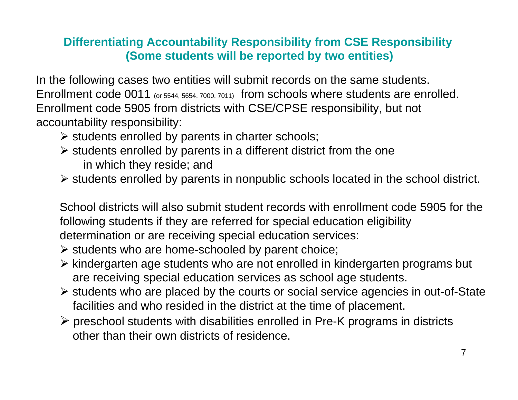#### **Differentiating Accountability Responsibility from CSE Responsibility (Some students will be reported by two entities)**

In the following cases two entities will submit records on the same students. Enrollment code 0011 (or 5544, 5654, 7000, 7011) from schools where students are enrolled. Enrollment code 5905 from districts with CSE/CPSE responsibility, but not accountability responsibility:

- $\triangleright$  students enrolled by parents in charter schools;
- $\triangleright$  students enrolled by parents in a different district from the one in which they reside; and
- ¾ students enrolled by parents in nonpublic schools located in the school district.

School districts will also submit student records with enrollment code 5905 for the following students if they are referred for special education eligibility determination or are receiving special education services:

- ¾ students who are home-schooled by parent choice;
- ¾ kindergarten age students who are not enrolled in kindergarten programs but are receiving special education services as school age students.
- ¾ students who are placed by the courts or social service agencies in out-of-State facilities and who resided in the district at the time of placement.
- ¾ preschool students with disabilities enrolled in Pre-K programs in districts other than their own districts of residence.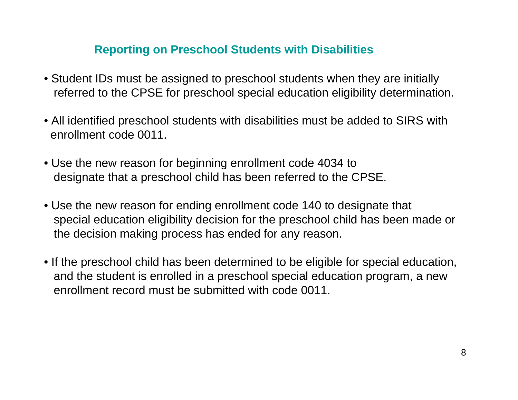#### **Reporting on Preschool Students with Disabilities**

- Student IDs must be assigned to preschool students when they are initially referred to the CPSE for preschool special education eligibility determination.
- All identified preschool students with disabilities must be added to SIRS with enrollment code 0011.
- Use the new reason for beginning enrollment code 4034 to designate that a preschool child has been referred to the CPSE.
- Use the new reason for ending enrollment code 140 to designate that special education eligibility decision for the preschool child has been made or the decision making process has ended for any reason.
- If the preschool child has been determined to be eligible for special education, and the student is enrolled in a preschool special education program, a new enrollment record must be submitted with code 0011.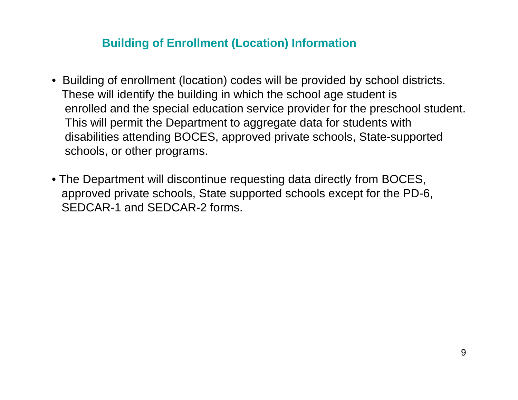#### **Building of Enrollment (Location) Information**

- Building of enrollment (location) codes will be provided by school districts. These will identify the building in which the school age student is enrolled and the special education service provider for the preschool student. This will permit the Department to aggregate data for students with disabilities attending BOCES, approved private schools, State-supported schools, or other programs.
- The Department will discontinue requesting data directly from BOCES, approved private schools, State supported schools except for the PD-6, SEDCAR-1 and SEDCAR-2 forms.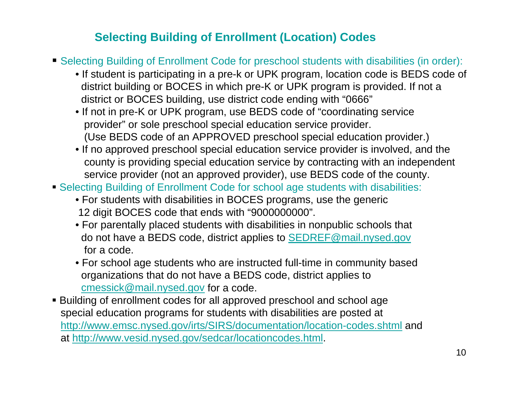#### **Selecting Building of Enrollment (Location) Codes**

- Selecting Building of Enrollment Code for preschool students with disabilities (in order):
	- If student is participating in a pre-k or UPK program, location code is BEDS code of district building or BOCES in which pre-K or UPK program is provided. If not a district or BOCES building, use district code ending with "0666"
	- If not in pre-K or UPK program, use BEDS code of "coordinating service provider" or sole preschool special education service provider. (Use BEDS code of an APPROVED preschool special education provider.)
	- If no approved preschool special education service provider is involved, and the county is providing special education service by contracting with an independent service provider (not an approved provider), use BEDS code of the county.
- Selecting Building of Enrollment Code for school age students with disabilities:
	- For students with disabilities in BOCES programs, use the generic 12 digit BOCES code that ends with "9000000000".
	- For parentally placed students with disabilities in nonpublic schools that do not have a BEDS code, district applies to SEDREF@mail.nysed.gov for a code.
	- For school age students who are instructed full-time in community based organizations that do not have a BEDS code, district applies to cmessick@mail.nysed.gov for a code.
- Building of enrollment codes for all approved preschool and school age special education programs for students with disabilities are posted at http://www.emsc.nysed.gov/irts/SIRS/documentation/location-codes.shtml and at http://www.vesid.nysed.gov/sedcar/locationcodes.html.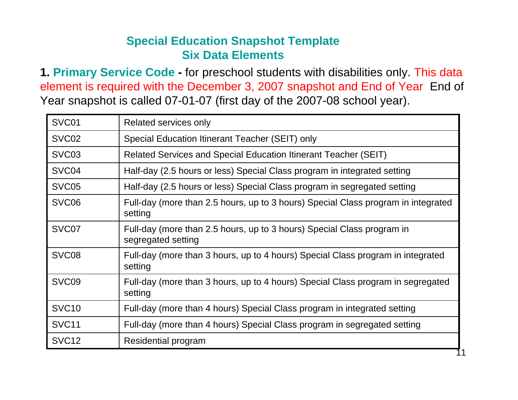#### **Special Education Snapshot Template Six Data Elements**

**1. Primary Service Code -** for preschool students with disabilities only. This data element is required with the December 3, 2007 snapshot and End of Year. End of Year snapshot is called 07-01-07 (first day of the 2007-08 school year).

| SVC01             | Related services only                                                                        |
|-------------------|----------------------------------------------------------------------------------------------|
| SVC02             | Special Education Itinerant Teacher (SEIT) only                                              |
| SVC <sub>03</sub> | Related Services and Special Education Itinerant Teacher (SEIT)                              |
| SVC <sub>04</sub> | Half-day (2.5 hours or less) Special Class program in integrated setting                     |
| SVC <sub>05</sub> | Half-day (2.5 hours or less) Special Class program in segregated setting                     |
| SVC <sub>06</sub> | Full-day (more than 2.5 hours, up to 3 hours) Special Class program in integrated<br>setting |
| SVC07             | Full-day (more than 2.5 hours, up to 3 hours) Special Class program in<br>segregated setting |
| SVC <sub>08</sub> | Full-day (more than 3 hours, up to 4 hours) Special Class program in integrated<br>setting   |
| SVC <sub>09</sub> | Full-day (more than 3 hours, up to 4 hours) Special Class program in segregated<br>setting   |
| SVC <sub>10</sub> | Full-day (more than 4 hours) Special Class program in integrated setting                     |
| SVC <sub>11</sub> | Full-day (more than 4 hours) Special Class program in segregated setting                     |
| SVC <sub>12</sub> | Residential program                                                                          |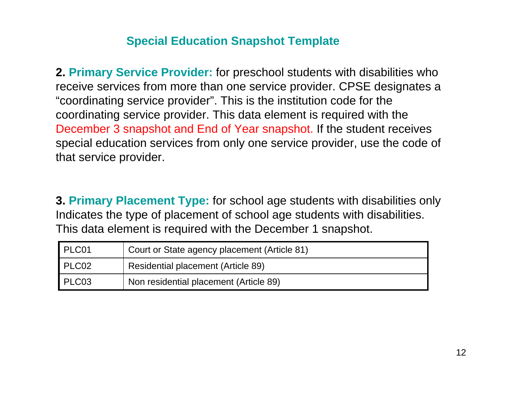**2. Primary Service Provider:** for preschool students with disabilities who receive services from more than one service provider. CPSE designates a "coordinating service provider". This is the institution code for the coordinating service provider. This data element is required with the December 3 snapshot and End of Year snapshot. If the student receives special education services from only one service provider, use the code of that service provider.

**3. Primary Placement Type:** for school age students with disabilities only Indicates the type of placement of school age students with disabilities. This data element is required with the December 1 snapshot.

| PLC01 | Court or State agency placement (Article 81) |
|-------|----------------------------------------------|
| PLC02 | <b>Residential placement (Article 89)</b>    |
| PLC03 | Non residential placement (Article 89)       |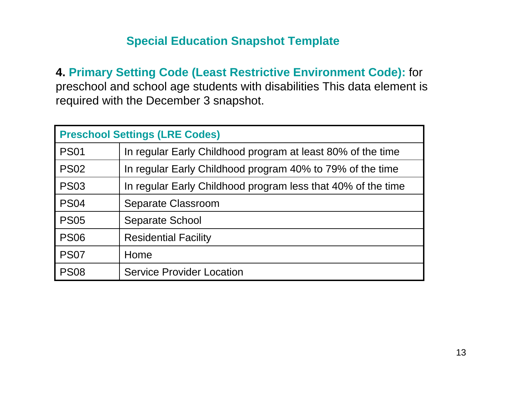**4. Primary Setting Code (Least Restrictive Environment Code):** for preschool and school age students with disabilities This data element is required with the December 3 snapshot.

| <b>Preschool Settings (LRE Codes)</b> |                                                              |  |  |  |  |
|---------------------------------------|--------------------------------------------------------------|--|--|--|--|
| <b>PS01</b>                           | In regular Early Childhood program at least 80% of the time  |  |  |  |  |
| <b>PS02</b>                           | In regular Early Childhood program 40% to 79% of the time    |  |  |  |  |
| <b>PS03</b>                           | In regular Early Childhood program less that 40% of the time |  |  |  |  |
| <b>PS04</b>                           | <b>Separate Classroom</b>                                    |  |  |  |  |
| <b>PS05</b>                           | <b>Separate School</b>                                       |  |  |  |  |
| <b>PS06</b>                           | <b>Residential Facility</b>                                  |  |  |  |  |
| <b>PS07</b>                           | Home                                                         |  |  |  |  |
| <b>PS08</b>                           | <b>Service Provider Location</b>                             |  |  |  |  |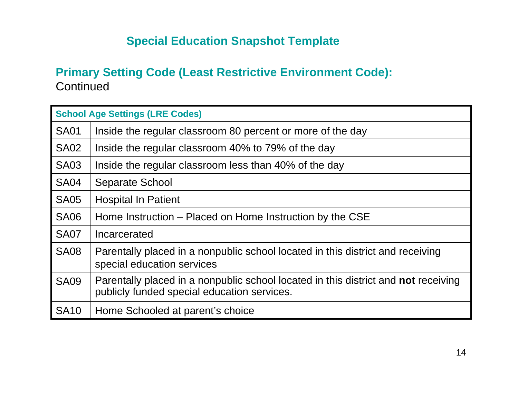#### **Primary Setting Code (Least Restrictive Environment Code): Continued**

|             | <b>School Age Settings (LRE Codes)</b>                                                                                            |  |  |  |  |  |  |
|-------------|-----------------------------------------------------------------------------------------------------------------------------------|--|--|--|--|--|--|
| <b>SA01</b> | Inside the regular classroom 80 percent or more of the day                                                                        |  |  |  |  |  |  |
| <b>SA02</b> | Inside the regular classroom 40% to 79% of the day                                                                                |  |  |  |  |  |  |
| <b>SA03</b> | Inside the regular classroom less than 40% of the day                                                                             |  |  |  |  |  |  |
| <b>SA04</b> | <b>Separate School</b>                                                                                                            |  |  |  |  |  |  |
| <b>SA05</b> | <b>Hospital In Patient</b>                                                                                                        |  |  |  |  |  |  |
| <b>SA06</b> | Home Instruction – Placed on Home Instruction by the CSE                                                                          |  |  |  |  |  |  |
| <b>SA07</b> | Incarcerated                                                                                                                      |  |  |  |  |  |  |
| <b>SA08</b> | Parentally placed in a nonpublic school located in this district and receiving<br>special education services                      |  |  |  |  |  |  |
| <b>SA09</b> | Parentally placed in a nonpublic school located in this district and not receiving<br>publicly funded special education services. |  |  |  |  |  |  |
| <b>SA10</b> | Home Schooled at parent's choice                                                                                                  |  |  |  |  |  |  |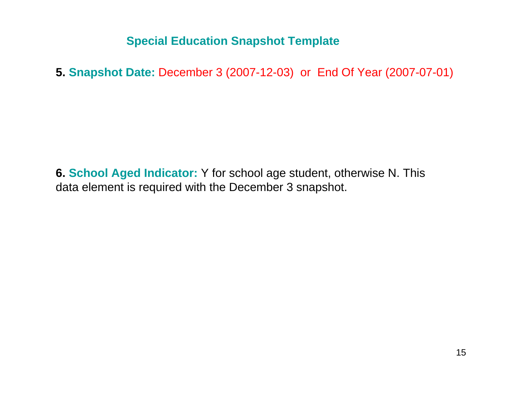**5. Snapshot Date:** December 3 (2007-12-03) or End Of Year (2007-07-01)

**6. School Aged Indicator:** Y for school age student, otherwise N. This data element is required with the December 3 snapshot.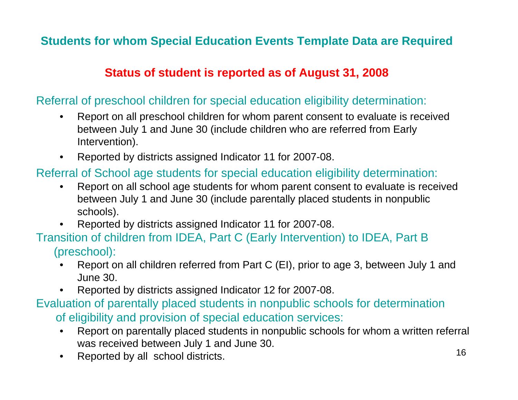#### **Students for whom Special Education Events Template Data are Required**

#### **Status of student is reported as of August 31, 2008**

#### Referral of preschool children for special education eligibility determination:

- $\bullet$  Report on all preschool children for whom parent consent to evaluate is received between July 1 and June 30 (include children who are referred from Early Intervention).
- •Reported by districts assigned Indicator 11 for 2007-08.

#### Referral of School age students for special education eligibility determination:

- • Report on all school age students for whom parent consent to evaluate is received between July 1 and June 30 (include parentally placed students in nonpublic schools).
- Reported by districts assigned Indicator 11 for 2007-08.

#### Transition of children from IDEA, Part C (Early Intervention) to IDEA, Part B (preschool):

- • Report on all children referred from Part C (EI), prior to age 3, between July 1 and June 30.
- •Reported by districts assigned Indicator 12 for 2007-08.

#### Evaluation of parentally placed students in nonpublic schools for determination of eligibility and provision of special education services:

- • Report on parentally placed students in nonpublic schools for whom a written referral was received between July 1 and June 30.
- $\bullet$ Reported by all school districts.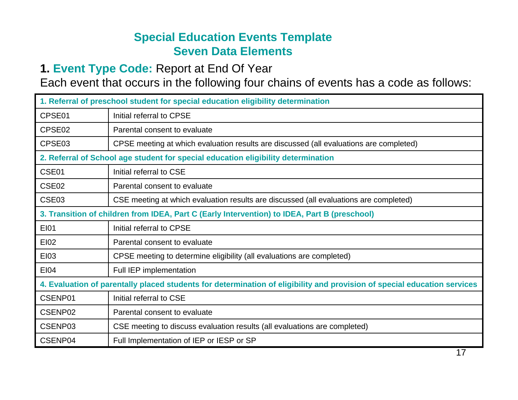#### **Special Education Events Template Seven Data Elements**

#### **1. Event Type Code:** Report at End Of Year

Each event that occurs in the following four chains of events has a code as follows:

| 1. Referral of preschool student for special education eligibility determination |                                                                                                                          |  |  |  |  |  |
|----------------------------------------------------------------------------------|--------------------------------------------------------------------------------------------------------------------------|--|--|--|--|--|
| CPSE01                                                                           | Initial referral to CPSE                                                                                                 |  |  |  |  |  |
| CPSE <sub>02</sub>                                                               | Parental consent to evaluate                                                                                             |  |  |  |  |  |
| CPSE03                                                                           | CPSE meeting at which evaluation results are discussed (all evaluations are completed)                                   |  |  |  |  |  |
|                                                                                  | 2. Referral of School age student for special education eligibility determination                                        |  |  |  |  |  |
| CSE01                                                                            | Initial referral to CSE                                                                                                  |  |  |  |  |  |
| CSE <sub>02</sub>                                                                | Parental consent to evaluate                                                                                             |  |  |  |  |  |
| CSE <sub>03</sub>                                                                | CSE meeting at which evaluation results are discussed (all evaluations are completed)                                    |  |  |  |  |  |
|                                                                                  | 3. Transition of children from IDEA, Part C (Early Intervention) to IDEA, Part B (preschool)                             |  |  |  |  |  |
| <b>EI01</b>                                                                      | Initial referral to CPSE                                                                                                 |  |  |  |  |  |
| EI02                                                                             | Parental consent to evaluate                                                                                             |  |  |  |  |  |
| <b>EI03</b>                                                                      | CPSE meeting to determine eligibility (all evaluations are completed)                                                    |  |  |  |  |  |
| E104                                                                             | Full IEP implementation                                                                                                  |  |  |  |  |  |
|                                                                                  | 4. Evaluation of parentally placed students for determination of eligibility and provision of special education services |  |  |  |  |  |
| CSENP01                                                                          | Initial referral to CSE                                                                                                  |  |  |  |  |  |
| CSENP02                                                                          | Parental consent to evaluate                                                                                             |  |  |  |  |  |
| CSENP03                                                                          | CSE meeting to discuss evaluation results (all evaluations are completed)                                                |  |  |  |  |  |
| CSENP04                                                                          | Full Implementation of IEP or IESP or SP                                                                                 |  |  |  |  |  |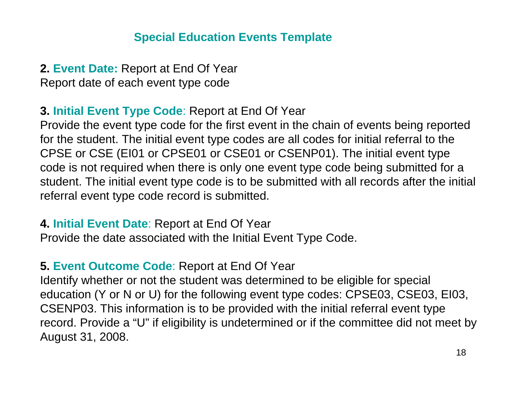**2. Event Date:** Report at End Of Year Report date of each event type code

#### **3. Initial Event Type Code**: Report at End Of Year

Provide the event type code for the first event in the chain of events being reported for the student. The initial event type codes are all codes for initial referral to the CPSE or CSE (EI01 or CPSE01 or CSE01 or CSENP01). The initial event type code is not required when there is only one event type code being submitted for a student. The initial event type code is to be submitted with all records after the initial referral event type code record is submitted.

#### **4. Initial Event Date**: Report at End Of Year

Provide the date associated with the Initial Event Type Code.

#### **5. Event Outcome Code**: Report at End Of Year

Identify whether or not the student was determined to be eligible for special education (Y or N or U) for the following event type codes: CPSE03, CSE03, EI03, CSENP03. This information is to be provided with the initial referral event type record. Provide a "U" if eligibility is undetermined or if the committee did not meet by August 31, 2008.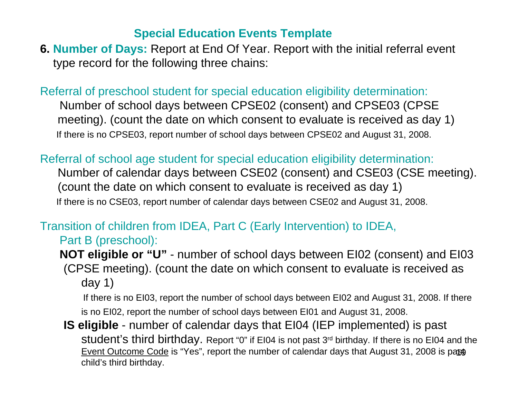**6. Number of Days:** Report at End Of Year. Report with the initial referral event type record for the following three chains:

Referral of preschool student for special education eligibility determination:

Number of school days between CPSE02 (consent) and CPSE03 (CPSE meeting). (count the date on which consent to evaluate is received as day 1) If there is no CPSE03, report number of school days between CPSE02 and August 31, 2008.

Referral of school age student for special education eligibility determination:

Number of calendar days between CSE02 (consent) and CSE03 (CSE meeting). (count the date on which consent to evaluate is received as day 1) If there is no CSE03, report number of calendar days between CSE02 and August 31, 2008.

#### Transition of children from IDEA, Part C (Early Intervention) to IDEA,

Part B (preschool):

**NOT eligible or "U"** - number of school days between EI02 (consent) and EI03 (CPSE meeting). (count the date on which consent to evaluate is received as day 1)

If there is no EI03, report the number of school days between EI02 and August 31, 2008. If there is no EI02, report the number of school days between EI01 and August 31, 2008.

<u>Event Outcome Code</u> is "Yes", report the number of calendar days that August 31, 2008 is pa $\mathfrak{g}_0$ **IS eligible** - number of calendar days that EI04 (IEP implemented) is past student's third birthday. Report "0" if EI04 is not past 3rd birthday. If there is no EI04 and the child's third birthday.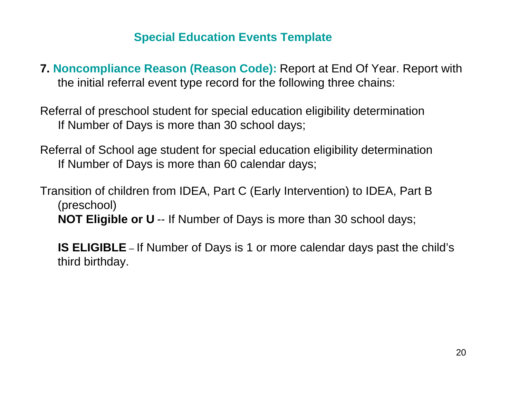**7. Noncompliance Reason (Reason Code):** Report at End Of Year. Report with the initial referral event type record for the following three chains:

Referral of preschool student for special education eligibility determination If Number of Days is more than 30 school days;

Referral of School age student for special education eligibility determination If Number of Days is more than 60 calendar days;

Transition of children from IDEA, Part C (Early Intervention) to IDEA, Part B (preschool) **NOT Eligible or U** -- If Number of Days is more than 30 school days;

**IS ELIGIBLE** – If Number of Days is 1 or more calendar days past the child's third birthday.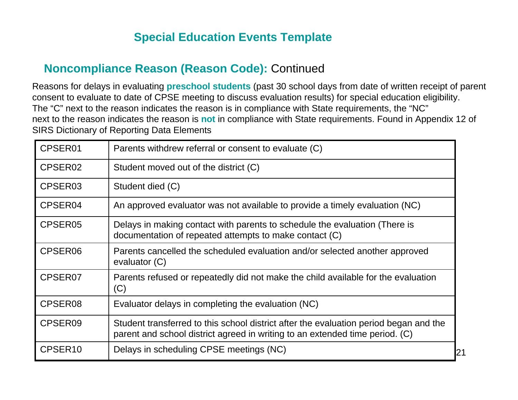#### **Noncompliance Reason (Reason Code):** Continued

Reasons for delays in evaluating **preschool students** (past 30 school days from date of written receipt of parent consent to evaluate to date of CPSE meeting to discuss evaluation results) for special education eligibility. The "C" next to the reason indicates the reason is in compliance with State requirements, the "NC" next to the reason indicates the reason is **not** in compliance with State requirements. Found in Appendix 12 of SIRS Dictionary of Reporting Data Elements

| CPSER01             | Parents withdrew referral or consent to evaluate (C)                                                                                                                  |    |
|---------------------|-----------------------------------------------------------------------------------------------------------------------------------------------------------------------|----|
| CPSER <sub>02</sub> | Student moved out of the district (C)                                                                                                                                 |    |
| CPSER03             | Student died (C)                                                                                                                                                      |    |
| CPSER04             | An approved evaluator was not available to provide a timely evaluation (NC)                                                                                           |    |
| CPSER05             | Delays in making contact with parents to schedule the evaluation (There is<br>documentation of repeated attempts to make contact (C)                                  |    |
| CPSER06             | Parents cancelled the scheduled evaluation and/or selected another approved<br>evaluator (C)                                                                          |    |
| CPSER07             | Parents refused or repeatedly did not make the child available for the evaluation<br>(C)                                                                              |    |
| CPSER08             | Evaluator delays in completing the evaluation (NC)                                                                                                                    |    |
| CPSER09             | Student transferred to this school district after the evaluation period began and the<br>parent and school district agreed in writing to an extended time period. (C) |    |
| CPSER <sub>10</sub> | Delays in scheduling CPSE meetings (NC)                                                                                                                               | 21 |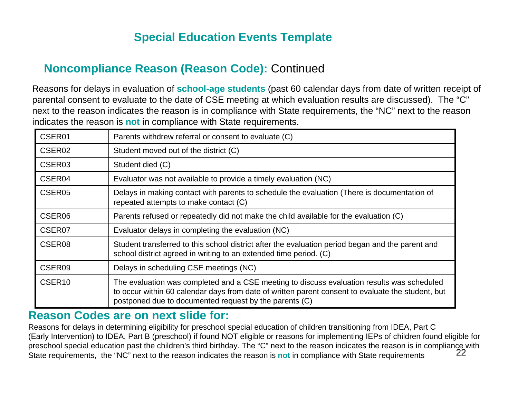#### **Noncompliance Reason (Reason Code):** Continued

Reasons for delays in evaluation of **school-age students** (past 60 calendar days from date of written receipt of parental consent to evaluate to the date of CSE meeting at which evaluation results are discussed). The "C" next to the reason indicates the reason is in compliance with State requirements, the "NC" next to the reason indicates the reason is **not** in compliance with State requirements.

| CSER01             | Parents withdrew referral or consent to evaluate (C)                                                                                                                                                                                                      |
|--------------------|-----------------------------------------------------------------------------------------------------------------------------------------------------------------------------------------------------------------------------------------------------------|
| CSER02             | Student moved out of the district (C)                                                                                                                                                                                                                     |
| CSER <sub>03</sub> | Student died (C)                                                                                                                                                                                                                                          |
| CSER04             | Evaluator was not available to provide a timely evaluation (NC)                                                                                                                                                                                           |
| CSER <sub>05</sub> | Delays in making contact with parents to schedule the evaluation (There is documentation of<br>repeated attempts to make contact (C)                                                                                                                      |
| CSER06             | Parents refused or repeatedly did not make the child available for the evaluation (C)                                                                                                                                                                     |
| CSER07             | Evaluator delays in completing the evaluation (NC)                                                                                                                                                                                                        |
| CSER <sub>08</sub> | Student transferred to this school district after the evaluation period began and the parent and<br>school district agreed in writing to an extended time period. (C)                                                                                     |
| CSER09             | Delays in scheduling CSE meetings (NC)                                                                                                                                                                                                                    |
| CSER <sub>10</sub> | The evaluation was completed and a CSE meeting to discuss evaluation results was scheduled<br>to occur within 60 calendar days from date of written parent consent to evaluate the student, but<br>postponed due to documented request by the parents (C) |

#### **Reason Codes are on next slide for:**

22Reasons for delays in determining eligibility for preschool special education of children transitioning from IDEA, Part C (Early Intervention) to IDEA, Part B (preschool) if found NOT eligible or reasons for implementing IEPs of children found eligible for preschool special education past the children's third birthday. The "C" next to the reason indicates the reason is in compliance with State requirements, the "NC" next to the reason indicates the reason is **not** in compliance with State requirements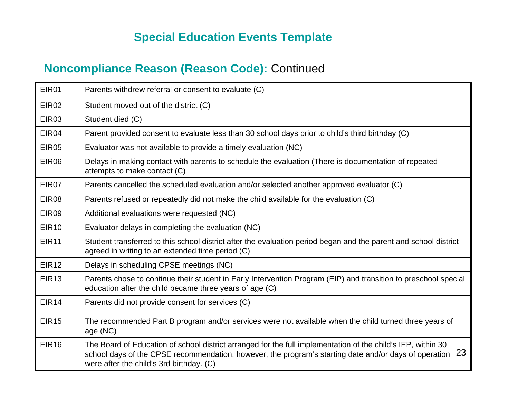#### **Noncompliance Reason (Reason Code):** Continued

| EIR01             | Parents withdrew referral or consent to evaluate (C)                                                                                                                                                                                                                 |
|-------------------|----------------------------------------------------------------------------------------------------------------------------------------------------------------------------------------------------------------------------------------------------------------------|
| EIR <sub>02</sub> | Student moved out of the district (C)                                                                                                                                                                                                                                |
| EIR03             | Student died (C)                                                                                                                                                                                                                                                     |
| EIR04             | Parent provided consent to evaluate less than 30 school days prior to child's third birthday (C)                                                                                                                                                                     |
| <b>EIR05</b>      | Evaluator was not available to provide a timely evaluation (NC)                                                                                                                                                                                                      |
| EIR06             | Delays in making contact with parents to schedule the evaluation (There is documentation of repeated<br>attempts to make contact (C)                                                                                                                                 |
| EIR07             | Parents cancelled the scheduled evaluation and/or selected another approved evaluator (C)                                                                                                                                                                            |
| EIR08             | Parents refused or repeatedly did not make the child available for the evaluation (C)                                                                                                                                                                                |
| EIR09             | Additional evaluations were requested (NC)                                                                                                                                                                                                                           |
| <b>EIR10</b>      | Evaluator delays in completing the evaluation (NC)                                                                                                                                                                                                                   |
| <b>EIR11</b>      | Student transferred to this school district after the evaluation period began and the parent and school district<br>agreed in writing to an extended time period (C)                                                                                                 |
| <b>EIR12</b>      | Delays in scheduling CPSE meetings (NC)                                                                                                                                                                                                                              |
| <b>EIR13</b>      | Parents chose to continue their student in Early Intervention Program (EIP) and transition to preschool special<br>education after the child became three years of age (C)                                                                                           |
| <b>EIR14</b>      | Parents did not provide consent for services (C)                                                                                                                                                                                                                     |
| <b>EIR15</b>      | The recommended Part B program and/or services were not available when the child turned three years of<br>age (NC)                                                                                                                                                   |
| <b>EIR16</b>      | The Board of Education of school district arranged for the full implementation of the child's IEP, within 30<br>school days of the CPSE recommendation, however, the program's starting date and/or days of operation 23<br>were after the child's 3rd birthday. (C) |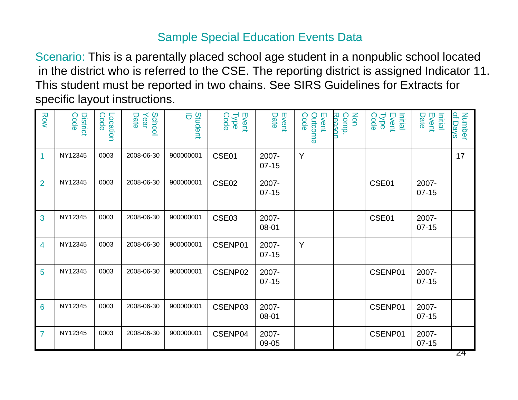#### Sample Special Education Events Data

Scenario: This is a parentally placed school age student in a nonpublic school located in the district who is referred to the CSE. The reporting district is assigned Indicator 11. This student must be reported in two chains. See SIRS Guidelines for Extracts for specific layout instructions.

| Row            | <b>District</b><br>Code | Code<br>Location | School<br>Year<br>Date | ō<br>Student | Event<br><b>Type</b><br>Code | Event<br>Date      | Event<br>Code<br>Outcome | Reason<br>Non<br>Comp. | Initial<br>Event<br>Type<br>Code | Initial<br>Event<br>Date | of Days<br>Number |
|----------------|-------------------------|------------------|------------------------|--------------|------------------------------|--------------------|--------------------------|------------------------|----------------------------------|--------------------------|-------------------|
| $\overline{1}$ | NY12345                 | 0003             | 2008-06-30             | 900000001    | CSE01                        | 2007-<br>$07-15$   | Y                        |                        |                                  |                          | 17                |
| $\overline{2}$ | NY12345                 | 0003             | 2008-06-30             | 900000001    | CSE02                        | 2007-<br>$07 - 15$ |                          |                        | CSE01                            | 2007-<br>$07-15$         |                   |
| 3              | NY12345                 | 0003             | 2008-06-30             | 900000001    | CSE03                        | 2007-<br>08-01     |                          |                        | CSE01                            | 2007-<br>$07-15$         |                   |
| $\overline{4}$ | NY12345                 | 0003             | 2008-06-30             | 900000001    | CSENP01                      | 2007-<br>$07-15$   | Y                        |                        |                                  |                          |                   |
| 5              | NY12345                 | 0003             | 2008-06-30             | 900000001    | CSENP02                      | 2007-<br>$07-15$   |                          |                        | CSENP01                          | 2007-<br>$07 - 15$       |                   |
| 6              | NY12345                 | 0003             | 2008-06-30             | 900000001    | CSENP03                      | 2007-<br>08-01     |                          |                        | CSENP01                          | 2007-<br>$07-15$         |                   |
| $\overline{7}$ | NY12345                 | 0003             | 2008-06-30             | 900000001    | CSENP04                      | 2007-<br>09-05     |                          |                        | CSENP01                          | 2007-<br>$07-15$         |                   |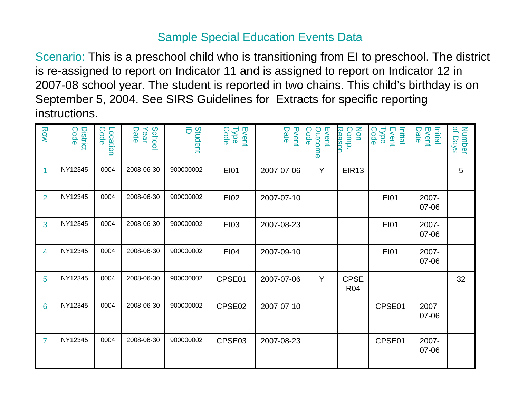#### Sample Special Education Events Data

Scenario: This is a preschool child who is transitioning from EI to preschool. The district is re-assigned to report on Indicator 11 and is assigned to report on Indicator 12 in 2007-08 school year. The student is reported in two chains. This child's birthday is on September 5, 2004. See SIRS Guidelines for Extracts for specific reporting instructions.

| Row            | <b>District</b><br>Code | Code<br>Location | School<br>Year<br>Date | õ<br>Student | Event<br>Type<br>Code | Event<br>Date | Event<br>Code<br>Outcome | Non<br>Reasor<br>Comp.    | Event<br>Type<br>Initial<br>Code | Initial<br>Event<br>Date | of Days<br>Number |
|----------------|-------------------------|------------------|------------------------|--------------|-----------------------|---------------|--------------------------|---------------------------|----------------------------------|--------------------------|-------------------|
| 1              | NY12345                 | 0004             | 2008-06-30             | 900000002    | EI01                  | 2007-07-06    | Y                        | EIR <sub>13</sub>         |                                  |                          | 5                 |
| $\overline{2}$ | NY12345                 | 0004             | 2008-06-30             | 900000002    | <b>EI02</b>           | 2007-07-10    |                          |                           | <b>EI01</b>                      | 2007-<br>07-06           |                   |
| 3              | NY12345                 | 0004             | 2008-06-30             | 900000002    | <b>EI03</b>           | 2007-08-23    |                          |                           | <b>EI01</b>                      | 2007-<br>07-06           |                   |
| 4              | NY12345                 | 0004             | 2008-06-30             | 900000002    | <b>EI04</b>           | 2007-09-10    |                          |                           | <b>EI01</b>                      | 2007-<br>07-06           |                   |
| 5              | NY12345                 | 0004             | 2008-06-30             | 900000002    | CPSE01                | 2007-07-06    | Y                        | <b>CPSE</b><br><b>R04</b> |                                  |                          | 32                |
| 6              | NY12345                 | 0004             | 2008-06-30             | 900000002    | CPSE02                | 2007-07-10    |                          |                           | CPSE01                           | 2007-<br>07-06           |                   |
| $\overline{7}$ | NY12345                 | 0004             | 2008-06-30             | 900000002    | CPSE03                | 2007-08-23    |                          |                           | CPSE01                           | 2007-<br>07-06           |                   |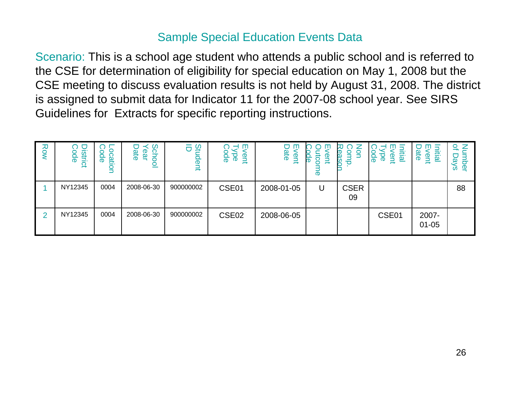#### Sample Special Education Events Data

Scenario: This is a school age student who attends a public school and is referred to the CSE for determination of eligibility for special education on May 1, 2008 but the CSE meeting to discuss evaluation results is not held by August 31, 2008. The district is assigned to submit data for Indicator 11 for the 2007-08 school year. See SIRS Guidelines for Extracts for specific reporting instructions.

| Row | District<br>ode | Code<br>⊃<br>cati<br>$\frac{1}{2}$ | Sho<br>യ<br>இ<br>ā | က္ဆ<br>$\overline{\sigma}$<br>dent | $-1$ m<br>౧<br>ਠ<br><u>p</u><br>$\mathbf{B}$<br>ō<br>$\rightarrow$ | ш<br>ate<br>ent | $\mathbf{\Phi}$<br>rD<br>ب<br>ወ | aso<br>$\Rightarrow$ | $\blacksquare$<br>$\overline{\phantom{0}}$<br>$\Box$<br>litial<br><b>DC</b><br>ପ<br>ଦ<br>ent | 0<br>m<br>$\Box$<br>ate<br>ΪË<br><u>ရ</u><br>$\rightarrow$ | $\mathbf{Q}$<br>z<br>O<br>قع<br>$\mathbf{\underline{\Phi}}$<br>ဖ |
|-----|-----------------|------------------------------------|--------------------|------------------------------------|--------------------------------------------------------------------|-----------------|---------------------------------|----------------------|----------------------------------------------------------------------------------------------|------------------------------------------------------------|------------------------------------------------------------------|
|     | NY12345         | 0004                               | 2008-06-30         | 900000002                          | CSE01                                                              | 2008-01-05      | U                               | <b>CSER</b><br>09    |                                                                                              |                                                            | 88                                                               |
|     | NY12345         | 0004                               | 2008-06-30         | 900000002                          | CSE <sub>02</sub>                                                  | 2008-06-05      |                                 |                      | CSE01                                                                                        | 2007-<br>$01 - 05$                                         |                                                                  |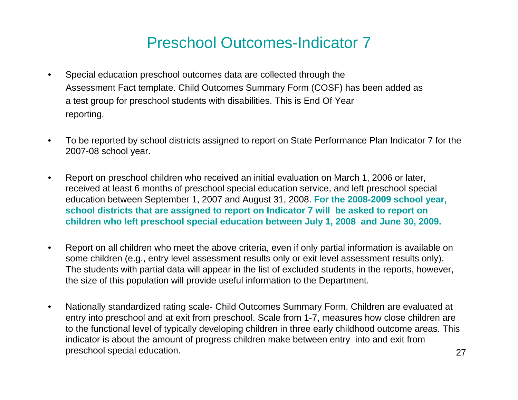## Preschool Outcomes-Indicator 7

- • Special education preschool outcomes data are collected through the Assessment Fact template. Child Outcomes Summary Form (COSF) has been added as a test group for preschool students with disabilities. This is End Of Year reporting.
- • To be reported by school districts assigned to report on State Performance Plan Indicator 7 for the 2007-08 school year.
- • Report on preschool children who received an initial evaluation on March 1, 2006 or later, received at least 6 months of preschool special education service, and left preschool special education between September 1, 2007 and August 31, 2008. **For the 2008-2009 school year, school districts that are assigned to report on Indicator 7 will be asked to report on children who left preschool special education between July 1, 2008 and June 30, 2009.**
- $\bullet$  Report on all children who meet the above criteria, even if only partial information is available on some children (e.g., entry level assessment results only or exit level assessment results only). The students with partial data will appear in the list of excluded students in the reports, however, the size of this population will provide useful information to the Department.
- $\bullet$  Nationally standardized rating scale- Child Outcomes Summary Form. Children are evaluated at entry into preschool and at exit from preschool. Scale from 1-7, measures how close children are to the functional level of typically developing children in three early childhood outcome areas. This indicator is about the amount of progress children make between entry into and exit from preschool special education.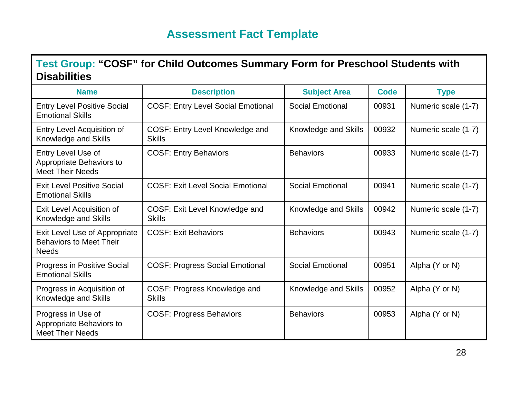#### **Assessment Fact Template**

#### **Test Group: "COSF" for Child Outcomes Summary Form for Preschool Students with Disabilities**

| <b>Name</b>                                                                     | <b>Description</b>                               | <b>Subject Area</b>     | <b>Code</b> | <b>Type</b>         |
|---------------------------------------------------------------------------------|--------------------------------------------------|-------------------------|-------------|---------------------|
| <b>Entry Level Positive Social</b><br><b>Emotional Skills</b>                   | <b>COSF: Entry Level Social Emotional</b>        | <b>Social Emotional</b> | 00931       | Numeric scale (1-7) |
| Entry Level Acquisition of<br>Knowledge and Skills                              | COSF: Entry Level Knowledge and<br><b>Skills</b> | Knowledge and Skills    | 00932       | Numeric scale (1-7) |
| Entry Level Use of<br>Appropriate Behaviors to<br><b>Meet Their Needs</b>       | <b>COSF: Entry Behaviors</b>                     | <b>Behaviors</b>        | 00933       | Numeric scale (1-7) |
| <b>Exit Level Positive Social</b><br><b>Emotional Skills</b>                    | <b>COSF: Exit Level Social Emotional</b>         | <b>Social Emotional</b> | 00941       | Numeric scale (1-7) |
| Exit Level Acquisition of<br>Knowledge and Skills                               | COSF: Exit Level Knowledge and<br><b>Skills</b>  | Knowledge and Skills    | 00942       | Numeric scale (1-7) |
| Exit Level Use of Appropriate<br><b>Behaviors to Meet Their</b><br><b>Needs</b> | <b>COSF: Exit Behaviors</b>                      | <b>Behaviors</b>        | 00943       | Numeric scale (1-7) |
| <b>Progress in Positive Social</b><br><b>Emotional Skills</b>                   | <b>COSF: Progress Social Emotional</b>           | <b>Social Emotional</b> | 00951       | Alpha (Y or N)      |
| Progress in Acquisition of<br>Knowledge and Skills                              | COSF: Progress Knowledge and<br><b>Skills</b>    | Knowledge and Skills    | 00952       | Alpha (Y or N)      |
| Progress in Use of<br>Appropriate Behaviors to<br><b>Meet Their Needs</b>       | <b>COSF: Progress Behaviors</b>                  | <b>Behaviors</b>        | 00953       | Alpha (Y or N)      |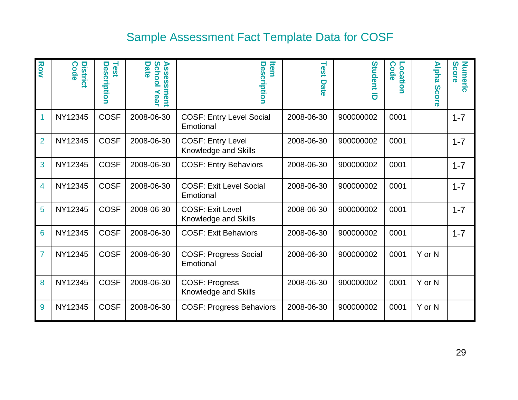## Sample Assessment Fact Template Data for COSF

| Row            | <b>Distric</b><br>Code | Test<br>Description | Scho<br>Asse<br>Date<br>ဖွ<br>О<br>ment<br><b>ear</b> | ltem<br>Desci<br>ription                         | Test<br>Date | Student<br>$\overline{\sigma}$ | Locatio<br>Code<br>Б | <b>Alpha</b><br><b>Score</b> | Score<br><b>Numeric</b> |
|----------------|------------------------|---------------------|-------------------------------------------------------|--------------------------------------------------|--------------|--------------------------------|----------------------|------------------------------|-------------------------|
| 1              | NY12345                | <b>COSF</b>         | 2008-06-30                                            | <b>COSF: Entry Level Social</b><br>Emotional     | 2008-06-30   | 900000002                      | 0001                 |                              | $1 - 7$                 |
| $\overline{2}$ | NY12345                | <b>COSF</b>         | 2008-06-30                                            | <b>COSF: Entry Level</b><br>Knowledge and Skills | 2008-06-30   | 900000002                      | 0001                 |                              | $1 - 7$                 |
| 3              | NY12345                | <b>COSF</b>         | 2008-06-30                                            | <b>COSF: Entry Behaviors</b>                     | 2008-06-30   | 900000002                      | 0001                 |                              | $1 - 7$                 |
| 4              | NY12345                | <b>COSF</b>         | 2008-06-30                                            | <b>COSF: Exit Level Social</b><br>Emotional      | 2008-06-30   | 900000002                      | 0001                 |                              | $1 - 7$                 |
| 5              | NY12345                | <b>COSF</b>         | 2008-06-30                                            | <b>COSF: Exit Level</b><br>Knowledge and Skills  | 2008-06-30   | 900000002                      | 0001                 |                              | $1 - 7$                 |
| 6              | NY12345                | <b>COSF</b>         | 2008-06-30                                            | <b>COSF: Exit Behaviors</b>                      | 2008-06-30   | 900000002                      | 0001                 |                              | $1 - 7$                 |
| 7              | NY12345                | <b>COSF</b>         | 2008-06-30                                            | <b>COSF: Progress Social</b><br>Emotional        | 2008-06-30   | 900000002                      | 0001                 | Y or N                       |                         |
| 8              | NY12345                | <b>COSF</b>         | 2008-06-30                                            | <b>COSF: Progress</b><br>Knowledge and Skills    | 2008-06-30   | 900000002                      | 0001                 | Y or N                       |                         |
| 9              | NY12345                | <b>COSF</b>         | 2008-06-30                                            | <b>COSF: Progress Behaviors</b>                  | 2008-06-30   | 900000002                      | 0001                 | Y or N                       |                         |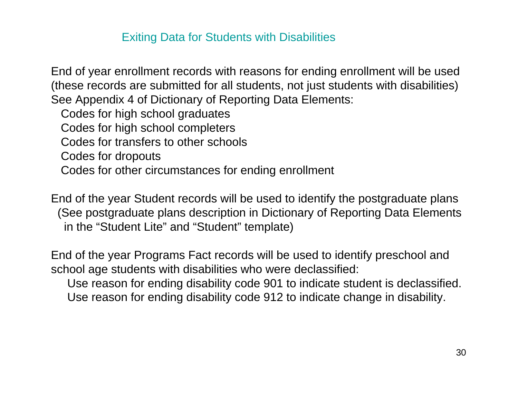#### Exiting Data for Students with Disabilities

End of year enrollment records with reasons for ending enrollment will be used (these records are submitted for all students, not just students with disabilities) See Appendix 4 of Dictionary of Reporting Data Elements:

Codes for high school graduates

Codes for high school completers

Codes for transfers to other schools

Codes for dropouts

Codes for other circumstances for ending enrollment

End of the year Student records will be used to identify the postgraduate plans (See postgraduate plans description in Dictionary of Reporting Data Elements in the "Student Lite" and "Student" template)

End of the year Programs Fact records will be used to identify preschool and school age students with disabilities who were declassified:

Use reason for ending disability code 901 to indicate student is declassified. Use reason for ending disability code 912 to indicate change in disability.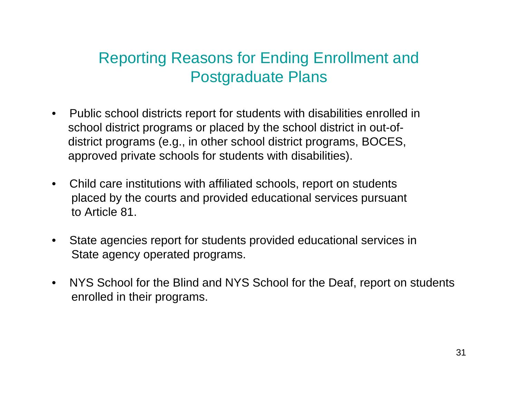# Reporting Reasons for Ending Enrollment and Postgraduate Plans

- $\bullet$  Public school districts report for students with disabilities enrolled in school district programs or placed by the school district in out-ofdistrict programs (e.g., in other school district programs, BOCES, approved private schools for students with disabilities).
- $\bullet$  Child care institutions with affiliated schools, report on students placed by the courts and provided educational services pursuant to Article 81.
- $\bullet$  State agencies report for students provided educational services in State agency operated programs.
- $\bullet$  NYS School for the Blind and NYS School for the Deaf, report on students enrolled in their programs.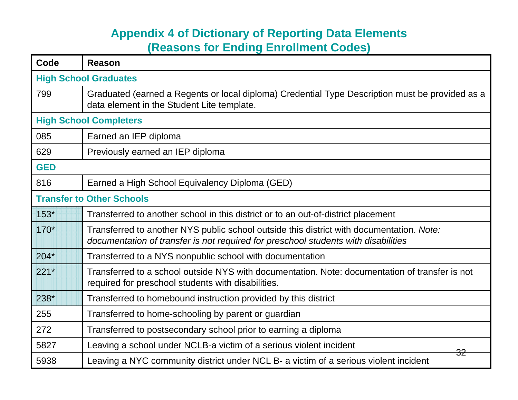#### **Appendix 4 of Dictionary of Reporting Data Elements (Reasons for Ending Enrollment Codes)**

| Code       | <b>Reason</b>                                                                                                                                                                  |  |  |  |  |  |
|------------|--------------------------------------------------------------------------------------------------------------------------------------------------------------------------------|--|--|--|--|--|
|            | <b>High School Graduates</b>                                                                                                                                                   |  |  |  |  |  |
| 799        | Graduated (earned a Regents or local diploma) Credential Type Description must be provided as a<br>data element in the Student Lite template.                                  |  |  |  |  |  |
|            | <b>High School Completers</b>                                                                                                                                                  |  |  |  |  |  |
| 085        | Earned an IEP diploma                                                                                                                                                          |  |  |  |  |  |
| 629        | Previously earned an IEP diploma                                                                                                                                               |  |  |  |  |  |
| <b>GED</b> |                                                                                                                                                                                |  |  |  |  |  |
| 816        | Earned a High School Equivalency Diploma (GED)                                                                                                                                 |  |  |  |  |  |
|            | <b>Transfer to Other Schools</b>                                                                                                                                               |  |  |  |  |  |
| $153*$     | Transferred to another school in this district or to an out-of-district placement                                                                                              |  |  |  |  |  |
| 170*       | Transferred to another NYS public school outside this district with documentation. Note:<br>documentation of transfer is not required for preschool students with disabilities |  |  |  |  |  |
| $204*$     | Transferred to a NYS nonpublic school with documentation                                                                                                                       |  |  |  |  |  |
| $221*$     | Transferred to a school outside NYS with documentation. Note: documentation of transfer is not<br>required for preschool students with disabilities.                           |  |  |  |  |  |
| 238*       | Transferred to homebound instruction provided by this district                                                                                                                 |  |  |  |  |  |
| 255        | Transferred to home-schooling by parent or guardian                                                                                                                            |  |  |  |  |  |
| 272        | Transferred to postsecondary school prior to earning a diploma                                                                                                                 |  |  |  |  |  |
| 5827       | Leaving a school under NCLB-a victim of a serious violent incident<br><del>32</del>                                                                                            |  |  |  |  |  |
| 5938       | Leaving a NYC community district under NCL B- a victim of a serious violent incident                                                                                           |  |  |  |  |  |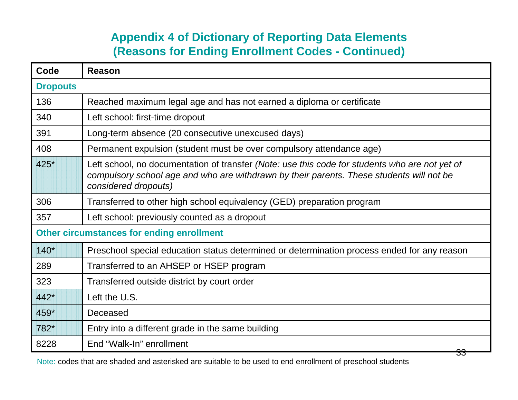#### **Appendix 4 of Dictionary of Reporting Data Elements (Reasons for Ending Enrollment Codes - Continued)**

| Code            | Reason                                                                                                                                                                                                             |
|-----------------|--------------------------------------------------------------------------------------------------------------------------------------------------------------------------------------------------------------------|
| <b>Dropouts</b> |                                                                                                                                                                                                                    |
| 136             | Reached maximum legal age and has not earned a diploma or certificate                                                                                                                                              |
| 340             | Left school: first-time dropout                                                                                                                                                                                    |
| 391             | Long-term absence (20 consecutive unexcused days)                                                                                                                                                                  |
| 408             | Permanent expulsion (student must be over compulsory attendance age)                                                                                                                                               |
| 425*            | Left school, no documentation of transfer (Note: use this code for students who are not yet of<br>compulsory school age and who are withdrawn by their parents. These students will not be<br>considered dropouts) |
| 306             | Transferred to other high school equivalency (GED) preparation program                                                                                                                                             |
| 357             | Left school: previously counted as a dropout                                                                                                                                                                       |
|                 | <b>Other circumstances for ending enrollment</b>                                                                                                                                                                   |
| $140*$          | Preschool special education status determined or determination process ended for any reason                                                                                                                        |
| 289             | Transferred to an AHSEP or HSEP program                                                                                                                                                                            |
| 323             | Transferred outside district by court order                                                                                                                                                                        |
| 442*            | Left the U.S.                                                                                                                                                                                                      |
| 459*            | Deceased                                                                                                                                                                                                           |
| 782*            | Entry into a different grade in the same building                                                                                                                                                                  |
| 8228            | End "Walk-In" enrollment                                                                                                                                                                                           |

Note: codes that are shaded and asterisked are suitable to be used to end enrollment of preschool students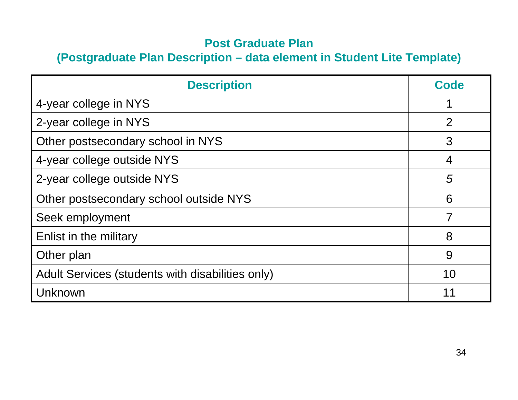#### **Post Graduate Plan**

#### **(Postgraduate Plan Description – data element in Student Lite Template)**

| <b>Description</b>                               | Code |
|--------------------------------------------------|------|
| 4-year college in NYS                            |      |
| 2-year college in NYS                            | 2    |
| Other postsecondary school in NYS                | 3    |
| 4-year college outside NYS                       | 4    |
| 2-year college outside NYS                       | 5    |
| Other postsecondary school outside NYS           | 6    |
| Seek employment                                  | 7    |
| Enlist in the military                           | 8    |
| Other plan                                       | 9    |
| Adult Services (students with disabilities only) | 10   |
| Unknown                                          | 11   |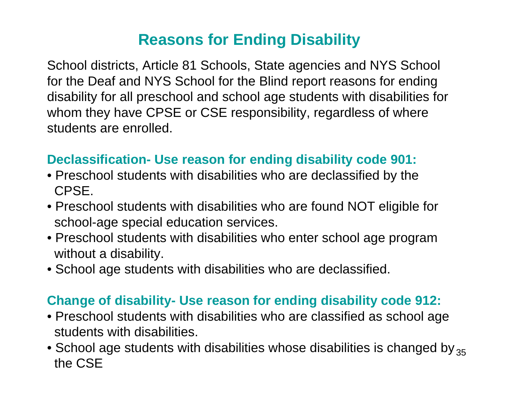# **Reasons for Ending Disability**

School districts, Article 81 Schools, State agencies and NYS School for the Deaf and NYS School for the Blind report reasons for ending disability for all preschool and school age students with disabilities for whom they have CPSE or CSE responsibility, regardless of where students are enrolled.

### **Declassification- Use reason for ending disability code 901:**

- Preschool students with disabilities who are declassified by the CPSE.
- Preschool students with disabilities who are found NOT eligible for school-age special education services.
- Preschool students with disabilities who enter school age program without a disability.
- School age students with disabilities who are declassified.

## **Change of disability- Use reason for ending disability code 912:**

- Preschool students with disabilities who are classified as school age students with disabilities.
- $\bullet$  School age students with disabilities whose disabilities is changed by  $_{35}$ the CSE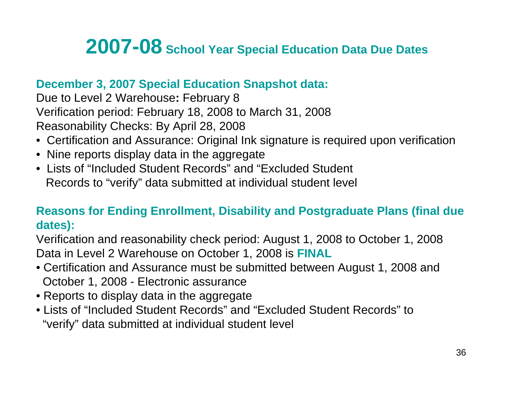# **2007-08 School Year Special Education Data Due Dates**

#### **December 3, 2007 Special Education Snapshot data:**

Due to Level 2 Warehouse**:** February 8 Verification period: February 18, 2008 to March 31, 2008 Reasonability Checks: By April 28, 2008

- Certification and Assurance: Original Ink signature is required upon verification
- Nine reports display data in the aggregate
- Lists of "Included Student Records" and "Excluded Student Records to "verify" data submitted at individual student level

#### **Reasons for Ending Enrollment, Disability and Postgraduate Plans (final due dates):**

Verification and reasonability check period: August 1, 2008 to October 1, 2008 Data in Level 2 Warehouse on October 1, 2008 is **FINAL**

- Certification and Assurance must be submitted between August 1, 2008 and October 1, 2008 - Electronic assurance
- Reports to display data in the aggregate
- Lists of "Included Student Records" and "Excluded Student Records" to"verify" data submitted at individual student level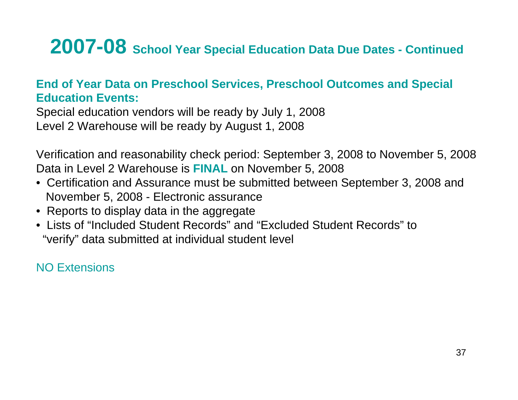# **2007-08 School Year Special Education Data Due Dates - Continued**

#### **End of Year Data on Preschool Services, Preschool Outcomes and Special Education Events:**

Special education vendors will be ready by July 1, 2008 Level 2 Warehouse will be ready by August 1, 2008

Verification and reasonability check period: September 3, 2008 to November 5, 2008 Data in Level 2 Warehouse is **FINAL** on November 5, 2008

- Certification and Assurance must be submitted between September 3, 2008 and November 5, 2008 - Electronic assurance
- Reports to display data in the aggregate
- Lists of "Included Student Records" and "Excluded Student Records" to"verify" data submitted at individual student level

NO Extensions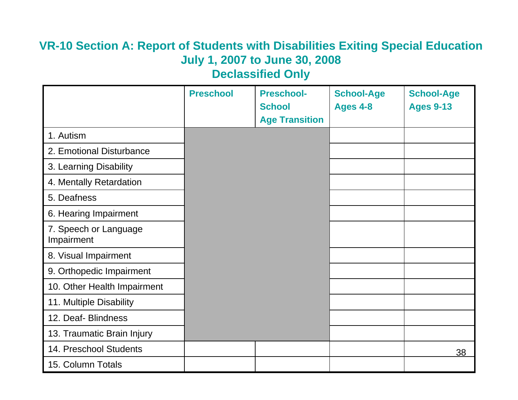## **VR-10 Section A: Report of Students with Disabilities Exiting Special Education July 1, 2007 to June 30, 2008**

**Declassified Only**

|                                     | <b>Preschool</b> | <b>Preschool-</b><br><b>School</b><br><b>Age Transition</b> | <b>School-Age</b><br><b>Ages 4-8</b> | <b>School-Age</b><br><b>Ages 9-13</b> |
|-------------------------------------|------------------|-------------------------------------------------------------|--------------------------------------|---------------------------------------|
| 1. Autism                           |                  |                                                             |                                      |                                       |
| 2. Emotional Disturbance            |                  |                                                             |                                      |                                       |
| 3. Learning Disability              |                  |                                                             |                                      |                                       |
| 4. Mentally Retardation             |                  |                                                             |                                      |                                       |
| 5. Deafness                         |                  |                                                             |                                      |                                       |
| 6. Hearing Impairment               |                  |                                                             |                                      |                                       |
| 7. Speech or Language<br>Impairment |                  |                                                             |                                      |                                       |
| 8. Visual Impairment                |                  |                                                             |                                      |                                       |
| 9. Orthopedic Impairment            |                  |                                                             |                                      |                                       |
| 10. Other Health Impairment         |                  |                                                             |                                      |                                       |
| 11. Multiple Disability             |                  |                                                             |                                      |                                       |
| 12. Deaf- Blindness                 |                  |                                                             |                                      |                                       |
| 13. Traumatic Brain Injury          |                  |                                                             |                                      |                                       |
| 14. Preschool Students              |                  |                                                             |                                      | 38                                    |
| 15. Column Totals                   |                  |                                                             |                                      |                                       |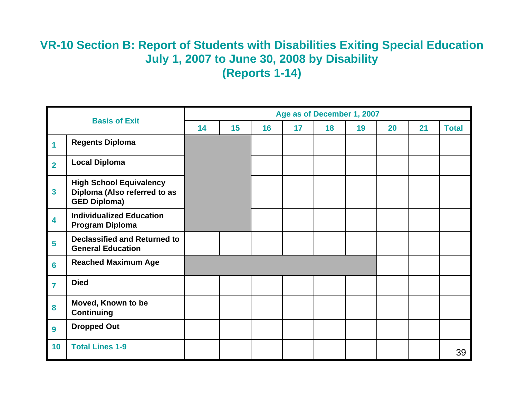#### **VR-10 Section B: Report of Students with Disabilities Exiting Special Education July 1, 2007 to June 30, 2008 by Disability (Reports 1-14)**

| <b>Basis of Exit</b> |                                                                                       | Age as of December 1, 2007 |    |    |    |    |    |    |    |              |
|----------------------|---------------------------------------------------------------------------------------|----------------------------|----|----|----|----|----|----|----|--------------|
|                      |                                                                                       |                            | 15 | 16 | 17 | 18 | 19 | 20 | 21 | <b>Total</b> |
| 1                    | <b>Regents Diploma</b>                                                                |                            |    |    |    |    |    |    |    |              |
| $\overline{2}$       | <b>Local Diploma</b>                                                                  |                            |    |    |    |    |    |    |    |              |
| $\mathbf{3}$         | <b>High School Equivalency</b><br>Diploma (Also referred to as<br><b>GED Diploma)</b> |                            |    |    |    |    |    |    |    |              |
| 4                    | <b>Individualized Education</b><br><b>Program Diploma</b>                             |                            |    |    |    |    |    |    |    |              |
| 5                    | <b>Declassified and Returned to</b><br><b>General Education</b>                       |                            |    |    |    |    |    |    |    |              |
| $6\phantom{a}$       | <b>Reached Maximum Age</b>                                                            |                            |    |    |    |    |    |    |    |              |
| $\overline{7}$       | <b>Died</b>                                                                           |                            |    |    |    |    |    |    |    |              |
| 8                    | Moved, Known to be<br><b>Continuing</b>                                               |                            |    |    |    |    |    |    |    |              |
| $\boldsymbol{9}$     | <b>Dropped Out</b>                                                                    |                            |    |    |    |    |    |    |    |              |
| 10                   | <b>Total Lines 1-9</b>                                                                |                            |    |    |    |    |    |    |    | 39           |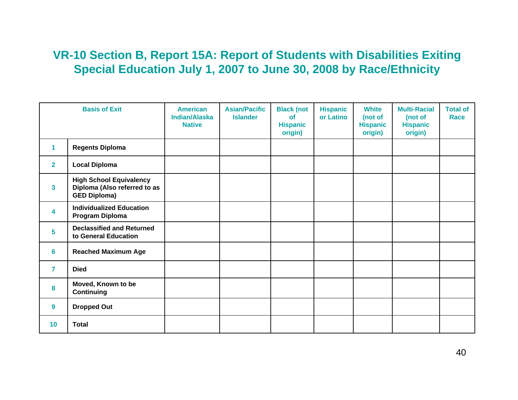#### **VR-10 Section B, Report 15A: Report of Students with Disabilities Exiting Special Education July 1, 2007 to June 30, 2008 by Race/Ethnicity**

|                         | <b>Basis of Exit</b>                                                                  | <b>American</b><br><b>Indian/Alaska</b><br><b>Native</b> | <b>Asian/Pacific</b><br><b>Islander</b> | <b>Black (not</b><br>of<br><b>Hispanic</b><br>origin) | <b>Hispanic</b><br>or Latino | <b>White</b><br>(not of<br><b>Hispanic</b><br>origin) | <b>Multi-Racial</b><br>(not of<br><b>Hispanic</b><br>origin) | <b>Total of</b><br><b>Race</b> |
|-------------------------|---------------------------------------------------------------------------------------|----------------------------------------------------------|-----------------------------------------|-------------------------------------------------------|------------------------------|-------------------------------------------------------|--------------------------------------------------------------|--------------------------------|
| 1                       | <b>Regents Diploma</b>                                                                |                                                          |                                         |                                                       |                              |                                                       |                                                              |                                |
| $\mathbf{2}$            | <b>Local Diploma</b>                                                                  |                                                          |                                         |                                                       |                              |                                                       |                                                              |                                |
| 3 <sup>1</sup>          | <b>High School Equivalency</b><br>Diploma (Also referred to as<br><b>GED Diploma)</b> |                                                          |                                         |                                                       |                              |                                                       |                                                              |                                |
| $\overline{\mathbf{4}}$ | <b>Individualized Education</b><br>Program Diploma                                    |                                                          |                                         |                                                       |                              |                                                       |                                                              |                                |
| 5 <sup>5</sup>          | <b>Declassified and Returned</b><br>to General Education                              |                                                          |                                         |                                                       |                              |                                                       |                                                              |                                |
| 6                       | <b>Reached Maximum Age</b>                                                            |                                                          |                                         |                                                       |                              |                                                       |                                                              |                                |
| $\overline{7}$          | <b>Died</b>                                                                           |                                                          |                                         |                                                       |                              |                                                       |                                                              |                                |
| 8                       | Moved, Known to be<br><b>Continuing</b>                                               |                                                          |                                         |                                                       |                              |                                                       |                                                              |                                |
| $\boldsymbol{9}$        | <b>Dropped Out</b>                                                                    |                                                          |                                         |                                                       |                              |                                                       |                                                              |                                |
| 10                      | <b>Total</b>                                                                          |                                                          |                                         |                                                       |                              |                                                       |                                                              |                                |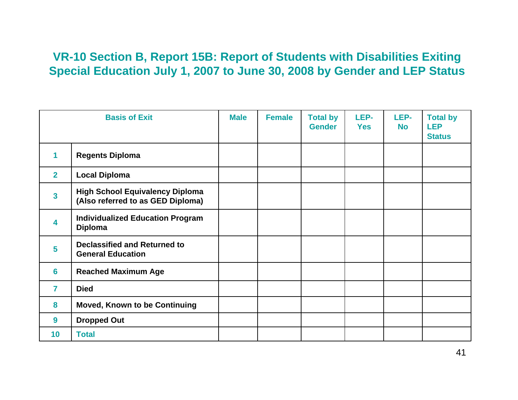#### **VR-10 Section B, Report 15B: Report of Students with Disabilities Exiting Special Education July 1, 2007 to June 30, 2008 by Gender and LEP Status**

| <b>Basis of Exit</b> |                                                                             | <b>Male</b> | <b>Female</b> | <b>Total by</b><br><b>Gender</b> | LEP-<br><b>Yes</b> | LEP-<br><b>No</b> | <b>Total by</b><br><b>LEP</b><br><b>Status</b> |
|----------------------|-----------------------------------------------------------------------------|-------------|---------------|----------------------------------|--------------------|-------------------|------------------------------------------------|
| 1                    | <b>Regents Diploma</b>                                                      |             |               |                                  |                    |                   |                                                |
| $\overline{2}$       | <b>Local Diploma</b>                                                        |             |               |                                  |                    |                   |                                                |
| 3                    | <b>High School Equivalency Diploma</b><br>(Also referred to as GED Diploma) |             |               |                                  |                    |                   |                                                |
| 4                    | <b>Individualized Education Program</b><br><b>Diploma</b>                   |             |               |                                  |                    |                   |                                                |
| 5                    | <b>Declassified and Returned to</b><br><b>General Education</b>             |             |               |                                  |                    |                   |                                                |
| 6                    | <b>Reached Maximum Age</b>                                                  |             |               |                                  |                    |                   |                                                |
| $\overline{7}$       | <b>Died</b>                                                                 |             |               |                                  |                    |                   |                                                |
| 8                    | <b>Moved, Known to be Continuing</b>                                        |             |               |                                  |                    |                   |                                                |
| 9                    | <b>Dropped Out</b>                                                          |             |               |                                  |                    |                   |                                                |
| 10 <sub>1</sub>      | <b>Total</b>                                                                |             |               |                                  |                    |                   |                                                |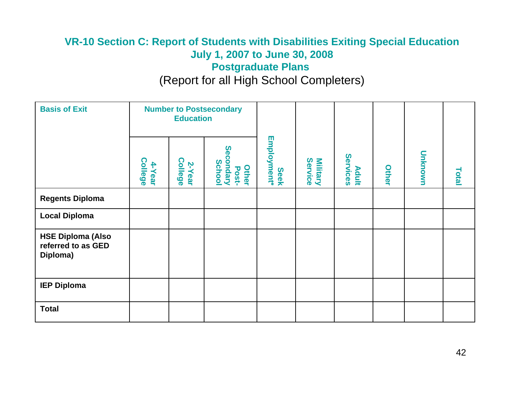#### **VR-10 Section C: Report of Students with Disabilities Exiting Special Education July 1, 2007 to June 30, 2008 Postgraduate Plans**

#### (Report for all High School Completers)

| <b>Basis of Exit</b>                                       | <b>Number to Postsecondary</b><br><b>Education</b> |                          |                                                     |                     |                            |                          |       |         |       |
|------------------------------------------------------------|----------------------------------------------------|--------------------------|-----------------------------------------------------|---------------------|----------------------------|--------------------------|-------|---------|-------|
|                                                            | <b>College</b><br>4-Year                           | <b>College</b><br>2-Year | Secondary<br><b>School</b><br><b>Other</b><br>Post- | Seek<br>Employment* | Service<br><b>Military</b> | Services<br><b>Adult</b> | Other | Unknown | Total |
| <b>Regents Diploma</b>                                     |                                                    |                          |                                                     |                     |                            |                          |       |         |       |
| <b>Local Diploma</b>                                       |                                                    |                          |                                                     |                     |                            |                          |       |         |       |
| <b>HSE Diploma (Also</b><br>referred to as GED<br>Diploma) |                                                    |                          |                                                     |                     |                            |                          |       |         |       |
| <b>IEP Diploma</b>                                         |                                                    |                          |                                                     |                     |                            |                          |       |         |       |
| <b>Total</b>                                               |                                                    |                          |                                                     |                     |                            |                          |       |         |       |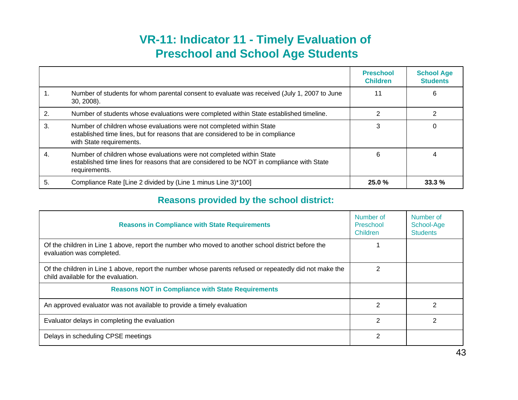#### **VR-11: Indicator 11 - Timely Evaluation of Preschool and School Age Students**

|    |                                                                                                                                                                                     | <b>Preschool</b><br><b>Children</b> | <b>School Age</b><br><b>Students</b> |
|----|-------------------------------------------------------------------------------------------------------------------------------------------------------------------------------------|-------------------------------------|--------------------------------------|
|    | Number of students for whom parental consent to evaluate was received (July 1, 2007 to June<br>30, 2008).                                                                           | 11                                  | 6                                    |
|    | Number of students whose evaluations were completed within State established timeline.                                                                                              |                                     |                                      |
| 3. | Number of children whose evaluations were not completed within State<br>established time lines, but for reasons that are considered to be in compliance<br>with State requirements. |                                     | 0                                    |
| 4. | Number of children whose evaluations were not completed within State<br>established time lines for reasons that are considered to be NOT in compliance with State<br>requirements.  | 6                                   |                                      |
| 5. | Compliance Rate [Line 2 divided by (Line 1 minus Line 3)*100]                                                                                                                       | 25.0%                               | 33.3%                                |

#### **Reasons provided by the school district:**

| <b>Reasons in Compliance with State Requirements</b>                                                                                           | Number of<br>Preschool<br>Children | Number of<br>School-Age<br><b>Students</b> |
|------------------------------------------------------------------------------------------------------------------------------------------------|------------------------------------|--------------------------------------------|
| Of the children in Line 1 above, report the number who moved to another school district before the<br>evaluation was completed.                |                                    |                                            |
| Of the children in Line 1 above, report the number whose parents refused or repeatedly did not make the<br>child available for the evaluation. | 2                                  |                                            |
| <b>Reasons NOT in Compliance with State Requirements</b>                                                                                       |                                    |                                            |
| An approved evaluator was not available to provide a timely evaluation                                                                         | $\mathcal{P}$                      | 2                                          |
| Evaluator delays in completing the evaluation                                                                                                  | 2                                  |                                            |
| Delays in scheduling CPSE meetings                                                                                                             | 2                                  |                                            |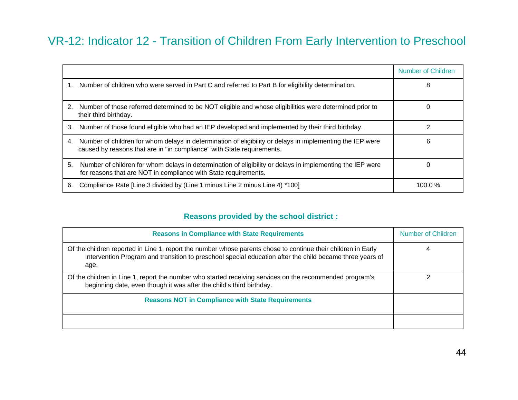#### VR-12: Indicator 12 - Transition of Children From Early Intervention to Preschool

|    |                                                                                                                                                                                     | Number of Children |
|----|-------------------------------------------------------------------------------------------------------------------------------------------------------------------------------------|--------------------|
|    | 1. Number of children who were served in Part C and referred to Part B for eligibility determination.                                                                               | 8                  |
| 2. | Number of those referred determined to be NOT eligible and whose eligibilities were determined prior to<br>their third birthday.                                                    | O                  |
| З. | Number of those found eligible who had an IEP developed and implemented by their third birthday.                                                                                    |                    |
| 4. | Number of children for whom delays in determination of eligibility or delays in implementing the IEP were<br>caused by reasons that are in "in compliance" with State requirements. | 6                  |
| 5. | Number of children for whom delays in determination of eligibility or delays in implementing the IEP were<br>for reasons that are NOT in compliance with State requirements.        |                    |
| 6. | Compliance Rate [Line 3 divided by (Line 1 minus Line 2 minus Line 4) *100]                                                                                                         | 100.0 $%$          |

#### **Reasons provided by the school district :**

| <b>Reasons in Compliance with State Requirements</b>                                                                                                                                                                              | <b>Number of Children</b> |  |  |
|-----------------------------------------------------------------------------------------------------------------------------------------------------------------------------------------------------------------------------------|---------------------------|--|--|
| Of the children reported in Line 1, report the number whose parents chose to continue their children in Early<br>Intervention Program and transition to preschool special education after the child became three years of<br>age. |                           |  |  |
| Of the children in Line 1, report the number who started receiving services on the recommended program's<br>beginning date, even though it was after the child's third birthday.                                                  |                           |  |  |
| <b>Reasons NOT in Compliance with State Requirements</b>                                                                                                                                                                          |                           |  |  |
|                                                                                                                                                                                                                                   |                           |  |  |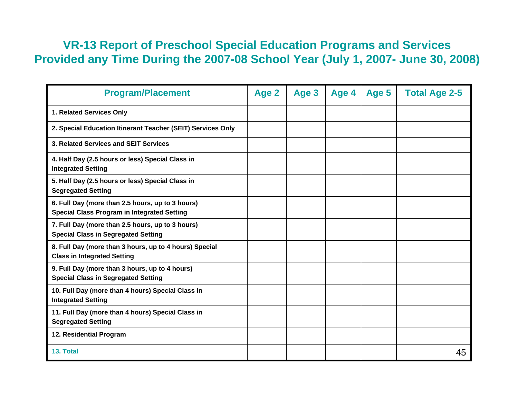#### **VR-13 Report of Preschool Special Education Programs and Services Provided any Time During the 2007-08 School Year (July 1, 2007- June 30, 2008)**

| <b>Program/Placement</b>                                                                               | Age 2 | Age 3 | Age 4 | Age 5 | <b>Total Age 2-5</b> |
|--------------------------------------------------------------------------------------------------------|-------|-------|-------|-------|----------------------|
| 1. Related Services Only                                                                               |       |       |       |       |                      |
| 2. Special Education Itinerant Teacher (SEIT) Services Only                                            |       |       |       |       |                      |
| 3. Related Services and SEIT Services                                                                  |       |       |       |       |                      |
| 4. Half Day (2.5 hours or less) Special Class in<br><b>Integrated Setting</b>                          |       |       |       |       |                      |
| 5. Half Day (2.5 hours or less) Special Class in<br><b>Segregated Setting</b>                          |       |       |       |       |                      |
| 6. Full Day (more than 2.5 hours, up to 3 hours)<br><b>Special Class Program in Integrated Setting</b> |       |       |       |       |                      |
| 7. Full Day (more than 2.5 hours, up to 3 hours)<br><b>Special Class in Segregated Setting</b>         |       |       |       |       |                      |
| 8. Full Day (more than 3 hours, up to 4 hours) Special<br><b>Class in Integrated Setting</b>           |       |       |       |       |                      |
| 9. Full Day (more than 3 hours, up to 4 hours)<br><b>Special Class in Segregated Setting</b>           |       |       |       |       |                      |
| 10. Full Day (more than 4 hours) Special Class in<br><b>Integrated Setting</b>                         |       |       |       |       |                      |
| 11. Full Day (more than 4 hours) Special Class in<br><b>Segregated Setting</b>                         |       |       |       |       |                      |
| 12. Residential Program                                                                                |       |       |       |       |                      |
| 13. Total                                                                                              |       |       |       |       | 45                   |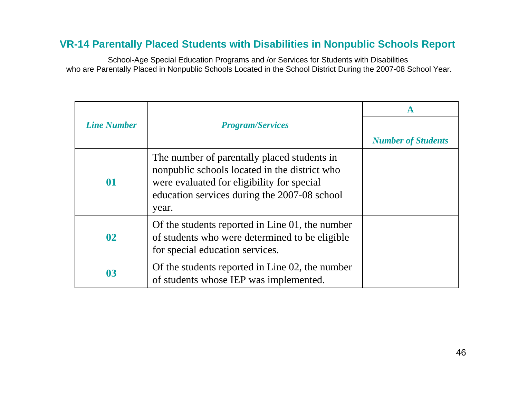#### **VR-14 Parentally Placed Students with Disabilities in Nonpublic Schools Report**

School-Age Special Education Programs and /or Services for Students with Disabilities who are Parentally Placed in Nonpublic Schools Located in the School District During the 2007-08 School Year.

|                    |                                                                                                                                                                                                     | A                         |
|--------------------|-----------------------------------------------------------------------------------------------------------------------------------------------------------------------------------------------------|---------------------------|
| <b>Line Number</b> | <b>Program/Services</b>                                                                                                                                                                             |                           |
|                    |                                                                                                                                                                                                     | <b>Number of Students</b> |
| 01                 | The number of parentally placed students in<br>nonpublic schools located in the district who<br>were evaluated for eligibility for special<br>education services during the 2007-08 school<br>year. |                           |
| $\mathbf{02}$      | Of the students reported in Line 01, the number<br>of students who were determined to be eligible<br>for special education services.                                                                |                           |
| 03                 | Of the students reported in Line 02, the number<br>of students whose IEP was implemented.                                                                                                           |                           |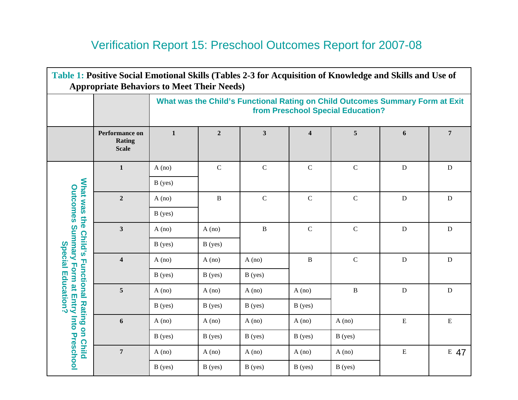### Verification Report 15: Preschool Outcomes Report for 2007-08

| Table 1: Positive Social Emotional Skills (Tables 2-3 for Acquisition of Knowledge and Skills and Use of<br><b>Appropriate Behaviors to Meet Their Needs)</b> |                                          |              |                                                                                                                    |              |             |              |             |             |  |  |  |
|---------------------------------------------------------------------------------------------------------------------------------------------------------------|------------------------------------------|--------------|--------------------------------------------------------------------------------------------------------------------|--------------|-------------|--------------|-------------|-------------|--|--|--|
|                                                                                                                                                               |                                          |              | What was the Child's Functional Rating on Child Outcomes Summary Form at Exit<br>from Preschool Special Education? |              |             |              |             |             |  |  |  |
|                                                                                                                                                               | Performance on<br>Rating<br><b>Scale</b> | $\mathbf{1}$ | $\overline{5}$<br>$\boldsymbol{2}$<br>$\mathbf{3}$<br>$\overline{\mathbf{4}}$<br>6                                 |              |             |              |             |             |  |  |  |
|                                                                                                                                                               | $\mathbf{1}$                             | A (no)       | ${\bf C}$                                                                                                          | ${\bf C}$    | ${\bf C}$   | ${\bf C}$    | ${\bf D}$   | $\mathbf D$ |  |  |  |
|                                                                                                                                                               |                                          | B(yes)       |                                                                                                                    |              |             |              |             |             |  |  |  |
| What was the                                                                                                                                                  | $\overline{2}$                           | A (no)       | B                                                                                                                  | $\mathbf C$  | ${\bf C}$   | $\mathbf C$  | ${\bf D}$   | $\mathbf D$ |  |  |  |
|                                                                                                                                                               |                                          | B(yes)       |                                                                                                                    |              |             |              |             |             |  |  |  |
|                                                                                                                                                               | $\mathbf{3}$                             | A (no)       | A (no)                                                                                                             | $\, {\bf B}$ | $\mathbf C$ | $\mathbf C$  | ${\bf D}$   | ${\bf D}$   |  |  |  |
| <b>Child's</b>                                                                                                                                                |                                          | B(yes)       | B(yes)                                                                                                             |              |             |              |             |             |  |  |  |
| <b>Special</b>                                                                                                                                                | $\overline{\mathbf{4}}$                  | A (no)       | A (no)                                                                                                             | A (no)       | B           | $\mathbf C$  | ${\bf D}$   | $\mathbf D$ |  |  |  |
|                                                                                                                                                               |                                          | B(yes)       | B(yes)                                                                                                             | B(yes)       |             |              |             |             |  |  |  |
| Education?                                                                                                                                                    | 5                                        | A (no)       | A (no)                                                                                                             | A (no)       | A (no)      | $\, {\bf B}$ | ${\bf D}$   | $\mathbf D$ |  |  |  |
|                                                                                                                                                               |                                          | B(yes)       | B(yes)                                                                                                             | B(yes)       | B(yes)      |              |             |             |  |  |  |
|                                                                                                                                                               | 6                                        | A (no)       | A (no)                                                                                                             | A (no)       | A (no)      | A (no)       | $\mathbf E$ | ${\bf E}$   |  |  |  |
| <b>Functional Rating on Child</b>                                                                                                                             |                                          | B(yes)       | B(yes)                                                                                                             | B(yes)       | B(yes)      | B(yes)       |             |             |  |  |  |
| <b>Outcomes Summary Form at Entry Into Preschool</b>                                                                                                          | $\overline{7}$                           | A (no)       | A (no)                                                                                                             | A (no)       | A (no)      | A (no)       | $\mathbf E$ | E 47        |  |  |  |
|                                                                                                                                                               |                                          | B(yes)       | B(yes)                                                                                                             | B(yes)       | B(yes)      | B(yes)       |             |             |  |  |  |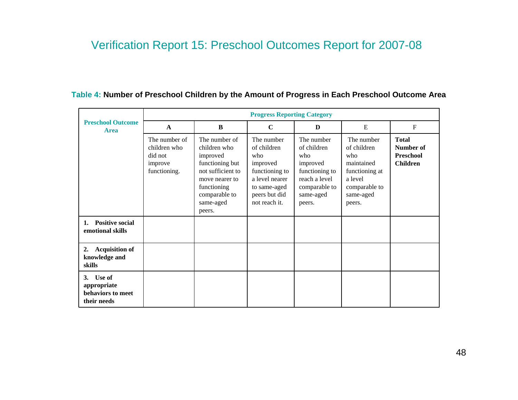#### Verification Report 15: Preschool Outcomes Report for 2007-08

|                                                                 | <b>Progress Reporting Category</b>                                  |                                                                                                                                                            |                                                                                                                                    |                                                                                                                         |                                                                                                                     |                                                                  |  |  |  |
|-----------------------------------------------------------------|---------------------------------------------------------------------|------------------------------------------------------------------------------------------------------------------------------------------------------------|------------------------------------------------------------------------------------------------------------------------------------|-------------------------------------------------------------------------------------------------------------------------|---------------------------------------------------------------------------------------------------------------------|------------------------------------------------------------------|--|--|--|
| <b>Preschool Outcome</b><br><b>Area</b>                         | $\mathbf{A}$                                                        | B                                                                                                                                                          |                                                                                                                                    | $\mathbf C$<br>D                                                                                                        |                                                                                                                     | ${\bf F}$                                                        |  |  |  |
|                                                                 | The number of<br>children who<br>did not<br>improve<br>functioning. | The number of<br>children who<br>improved<br>functioning but<br>not sufficient to<br>move nearer to<br>functioning<br>comparable to<br>same-aged<br>peers. | The number<br>of children<br>who<br>improved<br>functioning to<br>a level nearer<br>to same-aged<br>peers but did<br>not reach it. | The number<br>of children<br>who<br>improved<br>functioning to<br>reach a level<br>comparable to<br>same-aged<br>peers. | The number<br>of children<br>who<br>maintained<br>functioning at<br>a level<br>comparable to<br>same-aged<br>peers. | <b>Total</b><br>Number of<br><b>Preschool</b><br><b>Children</b> |  |  |  |
| <b>Positive social</b><br>1.<br>emotional skills                |                                                                     |                                                                                                                                                            |                                                                                                                                    |                                                                                                                         |                                                                                                                     |                                                                  |  |  |  |
| <b>Acquisition of</b><br>2.<br>knowledge and<br>skills          |                                                                     |                                                                                                                                                            |                                                                                                                                    |                                                                                                                         |                                                                                                                     |                                                                  |  |  |  |
| Use of<br>3.<br>appropriate<br>behaviors to meet<br>their needs |                                                                     |                                                                                                                                                            |                                                                                                                                    |                                                                                                                         |                                                                                                                     |                                                                  |  |  |  |

#### **Table 4: Number of Preschool Children by the Amount of Progress in Each Preschool Outcome Area**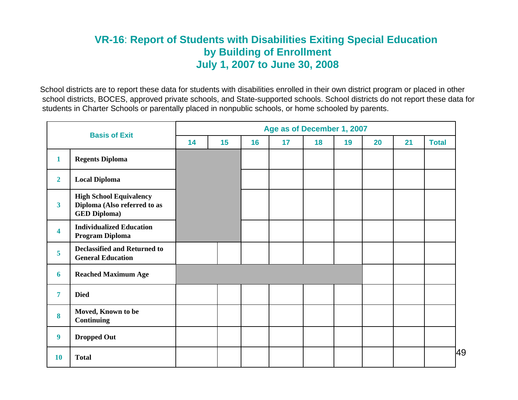#### **VR-16**: **Report of Students with Disabilities Exiting Special Education by Building of Enrollment July 1, 2007 to June 30, 2008**

School districts are to report these data for students with disabilities enrolled in their own district program or placed in other school districts, BOCES, approved private schools, and State-supported schools. School districts do not report these data for students in Charter Schools or parentally placed in nonpublic schools, or home schooled by parents.

| <b>Basis of Exit</b>    |                                                                                       | Age as of December 1, 2007 |    |    |    |    |    |    |    |              |
|-------------------------|---------------------------------------------------------------------------------------|----------------------------|----|----|----|----|----|----|----|--------------|
|                         |                                                                                       | 14                         | 15 | 16 | 17 | 18 | 19 | 20 | 21 | <b>Total</b> |
| $\mathbf{1}$            | <b>Regents Diploma</b>                                                                |                            |    |    |    |    |    |    |    |              |
| $\overline{2}$          | <b>Local Diploma</b>                                                                  |                            |    |    |    |    |    |    |    |              |
| $\overline{\mathbf{3}}$ | <b>High School Equivalency</b><br>Diploma (Also referred to as<br><b>GED Diploma)</b> |                            |    |    |    |    |    |    |    |              |
| $\overline{\mathbf{4}}$ | <b>Individualized Education</b><br>Program Diploma                                    |                            |    |    |    |    |    |    |    |              |
| 5                       | <b>Declassified and Returned to</b><br><b>General Education</b>                       |                            |    |    |    |    |    |    |    |              |
| 6                       | <b>Reached Maximum Age</b>                                                            |                            |    |    |    |    |    |    |    |              |
| $\overline{7}$          | <b>Died</b>                                                                           |                            |    |    |    |    |    |    |    |              |
| 8                       | Moved, Known to be<br><b>Continuing</b>                                               |                            |    |    |    |    |    |    |    |              |
| $\boldsymbol{9}$        | <b>Dropped Out</b>                                                                    |                            |    |    |    |    |    |    |    |              |
| 10                      | <b>Total</b>                                                                          |                            |    |    |    |    |    |    |    |              |

49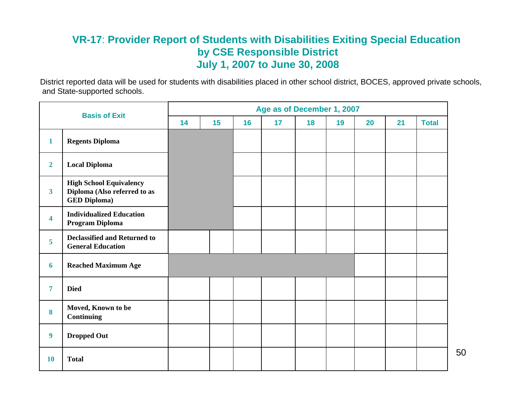#### **VR-17**: **Provider Report of Students with Disabilities Exiting Special Education by CSE Responsible District July 1, 2007 to June 30, 2008**

District reported data will be used for students with disabilities placed in other school district, BOCES, approved private schools, and State-supported schools.

| <b>Basis of Exit</b>    |                                                                                       | Age as of December 1, 2007 |    |    |    |    |    |    |    |              |
|-------------------------|---------------------------------------------------------------------------------------|----------------------------|----|----|----|----|----|----|----|--------------|
|                         |                                                                                       | 14                         | 15 | 16 | 17 | 18 | 19 | 20 | 21 | <b>Total</b> |
| $\mathbf{1}$            | <b>Regents Diploma</b>                                                                |                            |    |    |    |    |    |    |    |              |
| $\overline{2}$          | <b>Local Diploma</b>                                                                  |                            |    |    |    |    |    |    |    |              |
| $\overline{\mathbf{3}}$ | <b>High School Equivalency</b><br>Diploma (Also referred to as<br><b>GED Diploma)</b> |                            |    |    |    |    |    |    |    |              |
| $\overline{\mathbf{4}}$ | <b>Individualized Education</b><br>Program Diploma                                    |                            |    |    |    |    |    |    |    |              |
| 5                       | <b>Declassified and Returned to</b><br><b>General Education</b>                       |                            |    |    |    |    |    |    |    |              |
| 6                       | <b>Reached Maximum Age</b>                                                            |                            |    |    |    |    |    |    |    |              |
| $\overline{7}$          | <b>Died</b>                                                                           |                            |    |    |    |    |    |    |    |              |
| 8                       | Moved, Known to be<br><b>Continuing</b>                                               |                            |    |    |    |    |    |    |    |              |
| $\boldsymbol{9}$        | <b>Dropped Out</b>                                                                    |                            |    |    |    |    |    |    |    |              |
| 10                      | <b>Total</b>                                                                          |                            |    |    |    |    |    |    |    |              |

50